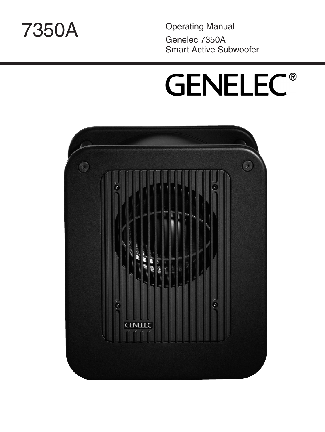

Genelec 7350A Smart Active Subwoofer Operating Manual 7350A

# **GENELEC®**

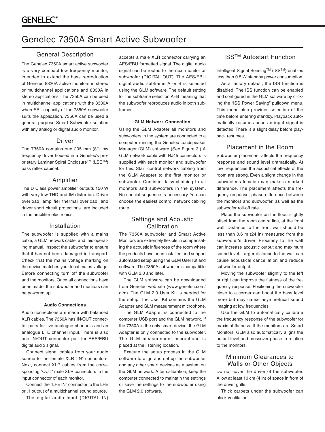## Genelec 7350A Smart Active Subwoofer

#### General Description

The Genelec 7350A smart active subwoofer is a very compact low frequency monitor, intended to extend the bass reproduction of Genelec 8320A active monitors in stereo or multichannel applications and 8330A in stereo applications. The 7350A can be used in multichannel applications with the 8330A when SPL capacity of the 7350A subwoofer suits the application. 7350A can be used a general purpose Smart Subwoofer solution with any analog or digital audio monitor.

#### Driver

The 7350A contains one 205 mm (8") low frequency driver housed in a Genelec's proprietary Laminar Spiral Enclosure™ (LSE™) bass reflex cabinet.

#### Amplifier

The D Class power amplifier outputs 150 W with very low THD and IM distortion. Driver overload, amplifier thermal overload, and driver short circuit protections are included in the amplifier electronics.

#### Installation

The subwoofer is supplied with a mains cable, a GLM network cable, and this operating manual. Inspect the subwoofer to ensure that it has not been damaged in transport. Check that the mains voltage marking on the device matches your local mains voltage. Before connecting turn off the subwoofer and the monitors. Once all connections have been made, the subwoofer and monitors can be powered up.

#### **Audio Connections**

Audio connections are made with balanced XLR cables. The 7350A has IN/OUT connector pairs for five analogue channels and an analogue LFE channel input. There is also one IN/OUT connector pair for AES/EBU digital audio signal.

Connect signal cables from your audio source to the female XLR "IN" connectors. Next, connect XLR cables from the corresponding "OUT" male XLR connectors to the input connector of each monitor.

Connect the "LFE IN" connector to the LFE or .1 output of a multichannel sound source.

The digital audio input (DIGITAL IN)

accepts a male XLR connector carrying an AES/EBU formatted signal. The digital audio signal can be routed to the next monitor or subwoofer (DIGITAL OUT). The AES/EBU digital audio subframe A or B is selected using the GLM software. The default setting for the subframe selection A+B meaning that the subwoofer reproduces audio in both subframes.

#### **GLM Network Connection**

Using the GLM Adapter all monitors and subwoofers in the system are connected to a computer running the Genelec Loudspeaker Manager (GLM) software (See Figure 3.) A GLM network cable with RJ45 connectors is supplied with each monitor and subwoofer for this. Start control network cabling from the GLM Adapter to the first monitor or subwoofer. Continue daisy-chaining to all monitors and subwoofers in the system. No special sequence is necessary. You can choose the easiest control network cabling route.

#### Settings and Acoustic Calibration

The 7350A subwoofer and Smart Active Monitors are extremely flexible in compensating the acoustic influences of the room where the products have been installed and support automated setup using the GLM User Kit and software. The 7350A subwoofer is compatible with GLM 2.0 and later.

The GLM software can be downloaded from Genelec web site (www.genelec.com/ glm). The GLM 2.0 User Kit is needed for the setup. The User Kit contains the GLM Adapter and GLM measurement microphone.

The GLM Adapter is connected to the computer USB port and the GLM network. If the 7350A is the only smart device, the GLM Adapter is only connected to the subwoofer. The GLM measurement microphone is placed at the listening location.

Execute the setup process in the GLM software to align and set up the subwoofer and any other smart devices as a system on the GLM network. After calibration, keep the computer connected to maintain the settings or save the settings to the subwoofer using the GLM 2.0 software.

#### ISSTM Autostart Function

Intelligent Signal SensingTM (ISSTM) enables less than 0.5 W standby power consumption.

As a factory default, the ISS function is disabled. The ISS function can be enabled and configured in the GLM software by clicking the "ISS Power Saving" pulldown menu. This menu also provides selection of the time before entering standby. Playback automatically resumes once an input signal is detected. There is a slight delay before playback resumes.

#### Placement in the Room

Subwoofer placement affects the frequency response and sound level dramatically. At low frequencies the acoustical effects of the room are strong. Even a slight change in the subwoofer's location can make a marked difference. The placement affects the frequeny response, phase difference between the monitors and subwoofer, as well as the subwoofer roll-off rate.

Place the subwoofer on the floor, slightly offset from the room centre line, at the front wall. Distance to the front wall should be less than 0.6 m (24 in) measured from the subwoofer's driver. Proximity to the wall can increase acoustic output and maximum sound level. Larger distance to the wall can cause acoustical cancellation and reduce subwoofer output.

Moving the subwoofer slightly to the left or right can improve the flatness of the frequency response. Positioning the subwoofer close to a corner can boost the bass level more but may cause asymmetrical sound imaging at low frequencies.

Use the GLM to automatically calibrate the frequency response of the subwoofer for maximal flatness. If the monitors are Smart Monitors, GLM also automatically aligns the output level and crossover phase in relation to the monitors.

#### Minimum Clearances to Walls or Other Objects

Do not cover the driver of the subwoofer. Allow at least 10 cm (4 in) of space in front of the driver grille.

Thick carpets under the subwoofer can block ventilation.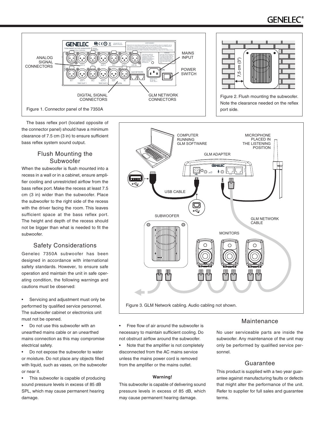# GENELEC



The bass reflex port (located opposite of the connector panel) should have a minimum clearance of 7.5 cm (3 in) to ensure sufficient bass reflex system sound output.

### Flush Mounting the Subwoofer

When the subwoofer is flush mounted into a recess in a wall or in a cabinet, ensure amplifier cooling and unrestricted airflow from the bass reflex port. Make the recess at least 7.5 cm (3 in) wider than the subwoofer. Place the subwoofer to the right side of the recess with the driver facing the room. This leaves sufficient space at the bass reflex port. The height and depth of the recess should not be bigger than what is needed to fit the subwoofer.

### Safety Considerations

Genelec 7350A subwoofer has been designed in accordance with international safety standards. However, to ensure safe operation and maintain the unit in safe operating condition, the following warnings and cautions must be observed:

Servicing and adjustment must only be performed by qualified service personnel. The subwoofer cabinet or electronics unit must not be opened.

Do not use this subwoofer with an unearthed mains cable or an unearthed mains connection as this may compromise electrical safety.

• Do not expose the subwoofer to water or moisture. Do not place any objects filled with liquid, such as vases, on the subwoofer or near it.

• This subwoofer is capable of producing sound pressure levels in excess of 85 dB SPL, which may cause permanent hearing damage.



Figure 3. GLM Network cabling. Audio cabling not shown.

Free flow of air around the subwoofer is necessary to maintain sufficient cooling. Do not obstruct airflow around the subwoofer.

Note that the amplifier is not completely disconnected from the AC mains service unless the mains power cord is removed from the amplifier or the mains outlet.

#### **Warning!**

This subwoofer is capable of delivering sound pressure levels in excess of 85 dB, which may cause permanent hearing damage.

### Maintenance

No user serviceable parts are inside the subwoofer. Any maintenance of the unit may only be performed by qualified service personnel.

### Guarantee

This product is supplied with a two year guarantee against manufacturing faults or defects that might alter the performance of the unit. Refer to supplier for full sales and guarantee terms.